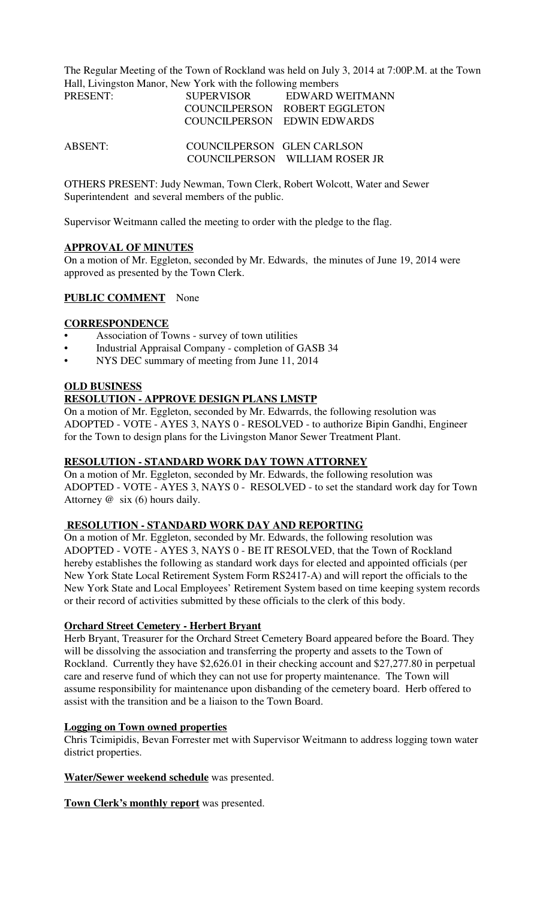The Regular Meeting of the Town of Rockland was held on July 3, 2014 at 7:00P.M. at the Town Hall, Livingston Manor, New York with the following members

| PRESENT: | <b>SUPERVISOR</b>          | EDWARD WEITMANN                |
|----------|----------------------------|--------------------------------|
|          |                            | COUNCILPERSON ROBERT EGGLETON  |
|          |                            | COUNCILPERSON EDWIN EDWARDS    |
| ABSENT:  | COUNCILPERSON GLEN CARLSON |                                |
|          |                            | COUNCILPERSON WILLIAM ROSER JR |

OTHERS PRESENT: Judy Newman, Town Clerk, Robert Wolcott, Water and Sewer Superintendent and several members of the public.

Supervisor Weitmann called the meeting to order with the pledge to the flag.

### **APPROVAL OF MINUTES**

On a motion of Mr. Eggleton, seconded by Mr. Edwards, the minutes of June 19, 2014 were approved as presented by the Town Clerk.

# **PUBLIC COMMENT** None

### **CORRESPONDENCE**

- Association of Towns survey of town utilities
- Industrial Appraisal Company completion of GASB 34
- NYS DEC summary of meeting from June 11, 2014

### **OLD BUSINESS**

### **RESOLUTION - APPROVE DESIGN PLANS LMSTP**

On a motion of Mr. Eggleton, seconded by Mr. Edwarrds, the following resolution was ADOPTED - VOTE - AYES 3, NAYS 0 - RESOLVED - to authorize Bipin Gandhi, Engineer for the Town to design plans for the Livingston Manor Sewer Treatment Plant.

#### **RESOLUTION - STANDARD WORK DAY TOWN ATTORNEY**

On a motion of Mr. Eggleton, seconded by Mr. Edwards, the following resolution was ADOPTED - VOTE - AYES 3, NAYS 0 - RESOLVED - to set the standard work day for Town Attorney @ six (6) hours daily.

### **RESOLUTION - STANDARD WORK DAY AND REPORTING**

On a motion of Mr. Eggleton, seconded by Mr. Edwards, the following resolution was ADOPTED - VOTE - AYES 3, NAYS 0 - BE IT RESOLVED, that the Town of Rockland hereby establishes the following as standard work days for elected and appointed officials (per New York State Local Retirement System Form RS2417-A) and will report the officials to the New York State and Local Employees' Retirement System based on time keeping system records or their record of activities submitted by these officials to the clerk of this body.

#### **Orchard Street Cemetery - Herbert Bryant**

Herb Bryant, Treasurer for the Orchard Street Cemetery Board appeared before the Board. They will be dissolving the association and transferring the property and assets to the Town of Rockland. Currently they have \$2,626.01 in their checking account and \$27,277.80 in perpetual care and reserve fund of which they can not use for property maintenance. The Town will assume responsibility for maintenance upon disbanding of the cemetery board. Herb offered to assist with the transition and be a liaison to the Town Board.

### **Logging on Town owned properties**

Chris Tcimipidis, Bevan Forrester met with Supervisor Weitmann to address logging town water district properties.

**Water/Sewer weekend schedule** was presented.

**Town Clerk's monthly report** was presented.